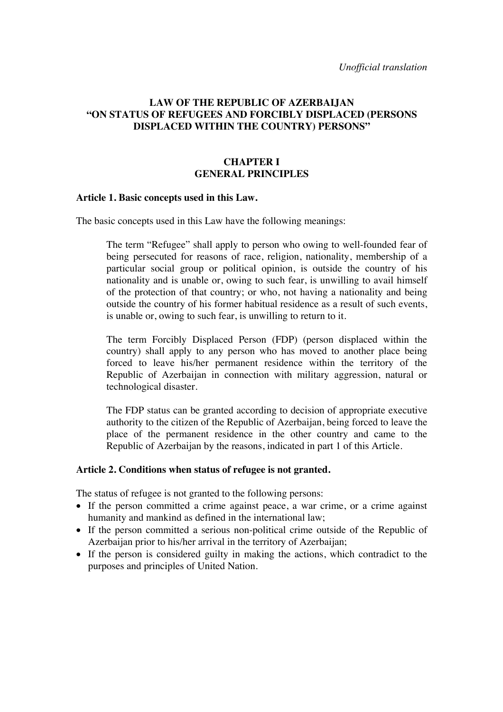*Unofficial translation* 

# **LAW OF THE REPUBLIC OF AZERBAIJAN "ON STATUS OF REFUGEES AND FORCIBLY DISPLACED (PERSONS DISPLACED WITHIN THE COUNTRY) PERSONS"**

#### **CHAPTER I GENERAL PRINCIPLES**

#### **Article 1. Basic concepts used in this Law.**

The basic concepts used in this Law have the following meanings:

The term "Refugee" shall apply to person who owing to well-founded fear of being persecuted for reasons of race, religion, nationality, membership of a particular social group or political opinion, is outside the country of his nationality and is unable or, owing to such fear, is unwilling to avail himself of the protection of that country; or who, not having a nationality and being outside the country of his former habitual residence as a result of such events, is unable or, owing to such fear, is unwilling to return to it.

The term Forcibly Displaced Person (FDP) (person displaced within the country) shall apply to any person who has moved to another place being forced to leave his/her permanent residence within the territory of the Republic of Azerbaijan in connection with military aggression, natural or technological disaster.

The FDP status can be granted according to decision of appropriate executive authority to the citizen of the Republic of Azerbaijan, being forced to leave the place of the permanent residence in the other country and came to the Republic of Azerbaijan by the reasons, indicated in part 1 of this Article.

#### **Article 2. Conditions when status of refugee is not granted.**

The status of refugee is not granted to the following persons:

- If the person committed a crime against peace, a war crime, or a crime against humanity and mankind as defined in the international law;
- If the person committed a serious non-political crime outside of the Republic of Azerbaijan prior to his/her arrival in the territory of Azerbaijan;
- If the person is considered guilty in making the actions, which contradict to the purposes and principles of United Nation.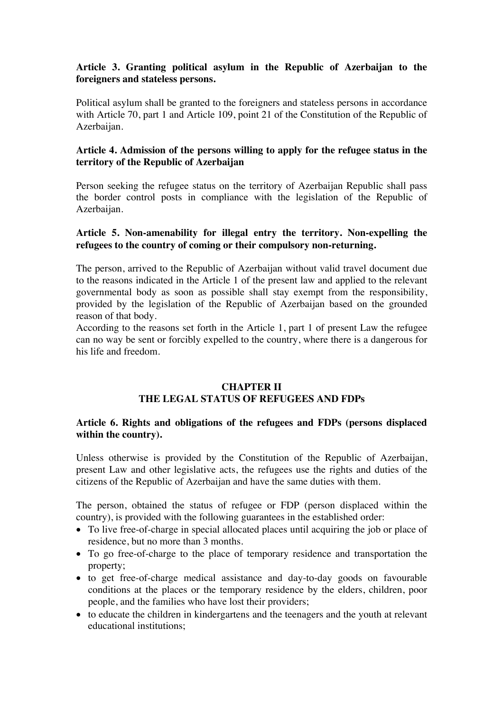# **Article 3. Granting political asylum in the Republic of Azerbaijan to the foreigners and stateless persons.**

Political asylum shall be granted to the foreigners and stateless persons in accordance with Article 70, part 1 and Article 109, point 21 of the Constitution of the Republic of Azerbaijan.

# **Article 4. Admission of the persons willing to apply for the refugee status in the territory of the Republic of Azerbaijan**

Person seeking the refugee status on the territory of Azerbaijan Republic shall pass the border control posts in compliance with the legislation of the Republic of Azerbaijan.

# **Article 5. Non-amenability for illegal entry the territory. Non-expelling the refugees to the country of coming or their compulsory non-returning.**

The person, arrived to the Republic of Azerbaijan without valid travel document due to the reasons indicated in the Article 1 of the present law and applied to the relevant governmental body as soon as possible shall stay exempt from the responsibility, provided by the legislation of the Republic of Azerbaijan based on the grounded reason of that body.

According to the reasons set forth in the Article 1, part 1 of present Law the refugee can no way be sent or forcibly expelled to the country, where there is a dangerous for his life and freedom.

## **CHAPTER II THE LEGAL STATUS OF REFUGEES AND FDPs**

## **Article 6. Rights and obligations of the refugees and FDPs (persons displaced within the country).**

Unless otherwise is provided by the Constitution of the Republic of Azerbaijan, present Law and other legislative acts, the refugees use the rights and duties of the citizens of the Republic of Azerbaijan and have the same duties with them.

The person, obtained the status of refugee or FDP (person displaced within the country), is provided with the following guarantees in the established order:

- To live free-of-charge in special allocated places until acquiring the job or place of residence, but no more than 3 months.
- To go free-of-charge to the place of temporary residence and transportation the property;
- to get free-of-charge medical assistance and day-to-day goods on favourable conditions at the places or the temporary residence by the elders, children, poor people, and the families who have lost their providers;
- to educate the children in kindergartens and the teenagers and the youth at relevant educational institutions;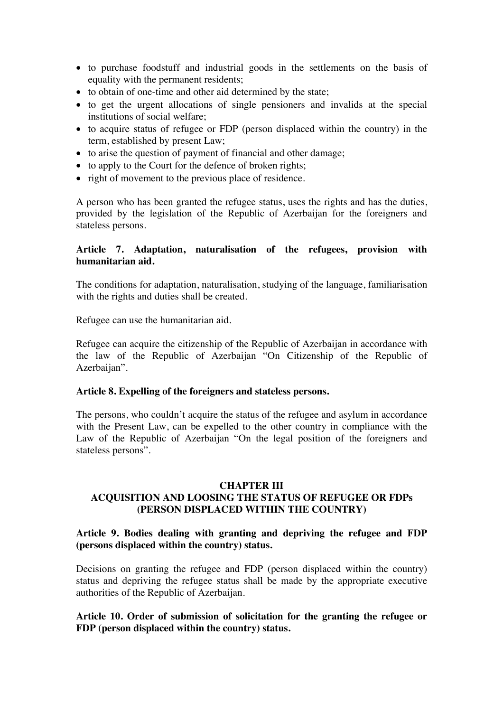- to purchase foodstuff and industrial goods in the settlements on the basis of equality with the permanent residents;
- to obtain of one-time and other aid determined by the state;
- to get the urgent allocations of single pensioners and invalids at the special institutions of social welfare;
- to acquire status of refugee or FDP (person displaced within the country) in the term, established by present Law;
- to arise the question of payment of financial and other damage;
- to apply to the Court for the defence of broken rights;
- right of movement to the previous place of residence.

A person who has been granted the refugee status, uses the rights and has the duties, provided by the legislation of the Republic of Azerbaijan for the foreigners and stateless persons.

## **Article 7. Adaptation, naturalisation of the refugees, provision with humanitarian aid.**

The conditions for adaptation, naturalisation, studying of the language, familiarisation with the rights and duties shall be created.

Refugee can use the humanitarian aid.

Refugee can acquire the citizenship of the Republic of Azerbaijan in accordance with the law of the Republic of Azerbaijan "On Citizenship of the Republic of Azerbaijan".

#### **Article 8. Expelling of the foreigners and stateless persons.**

The persons, who couldn't acquire the status of the refugee and asylum in accordance with the Present Law, can be expelled to the other country in compliance with the Law of the Republic of Azerbaijan "On the legal position of the foreigners and stateless persons".

#### **CHAPTER III**

# **ACQUISITION AND LOOSING THE STATUS OF REFUGEE OR FDPs (PERSON DISPLACED WITHIN THE COUNTRY)**

#### **Article 9. Bodies dealing with granting and depriving the refugee and FDP (persons displaced within the country) status.**

Decisions on granting the refugee and FDP (person displaced within the country) status and depriving the refugee status shall be made by the appropriate executive authorities of the Republic of Azerbaijan.

## **Article 10. Order of submission of solicitation for the granting the refugee or FDP (person displaced within the country) status.**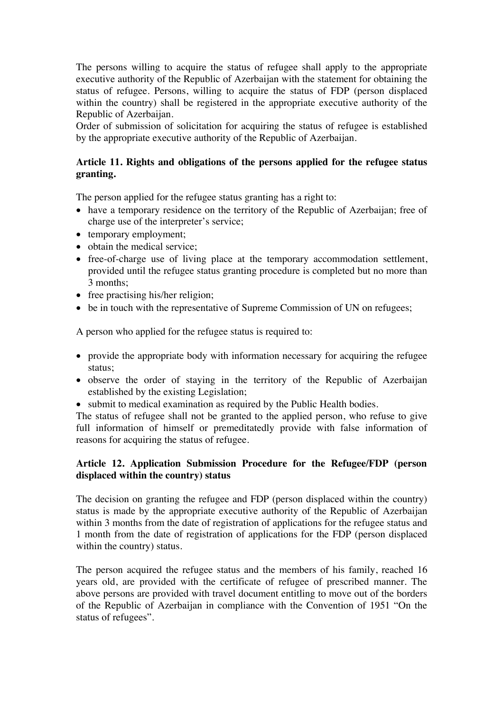The persons willing to acquire the status of refugee shall apply to the appropriate executive authority of the Republic of Azerbaijan with the statement for obtaining the status of refugee. Persons, willing to acquire the status of FDP (person displaced within the country) shall be registered in the appropriate executive authority of the Republic of Azerbaijan.

Order of submission of solicitation for acquiring the status of refugee is established by the appropriate executive authority of the Republic of Azerbaijan.

# **Article 11. Rights and obligations of the persons applied for the refugee status granting.**

The person applied for the refugee status granting has a right to:

- have a temporary residence on the territory of the Republic of Azerbaijan; free of charge use of the interpreter's service;
- temporary employment;
- obtain the medical service:
- free-of-charge use of living place at the temporary accommodation settlement, provided until the refugee status granting procedure is completed but no more than 3 months;
- free practising his/her religion;
- be in touch with the representative of Supreme Commission of UN on refugees;

A person who applied for the refugee status is required to:

- provide the appropriate body with information necessary for acquiring the refugee status;
- observe the order of staying in the territory of the Republic of Azerbaijan established by the existing Legislation;
- submit to medical examination as required by the Public Health bodies.

The status of refugee shall not be granted to the applied person, who refuse to give full information of himself or premeditatedly provide with false information of reasons for acquiring the status of refugee.

# **Article 12. Application Submission Procedure for the Refugee/FDP (person displaced within the country) status**

The decision on granting the refugee and FDP (person displaced within the country) status is made by the appropriate executive authority of the Republic of Azerbaijan within 3 months from the date of registration of applications for the refugee status and 1 month from the date of registration of applications for the FDP (person displaced within the country) status.

The person acquired the refugee status and the members of his family, reached 16 years old, are provided with the certificate of refugee of prescribed manner. The above persons are provided with travel document entitling to move out of the borders of the Republic of Azerbaijan in compliance with the Convention of 1951 "On the status of refugees".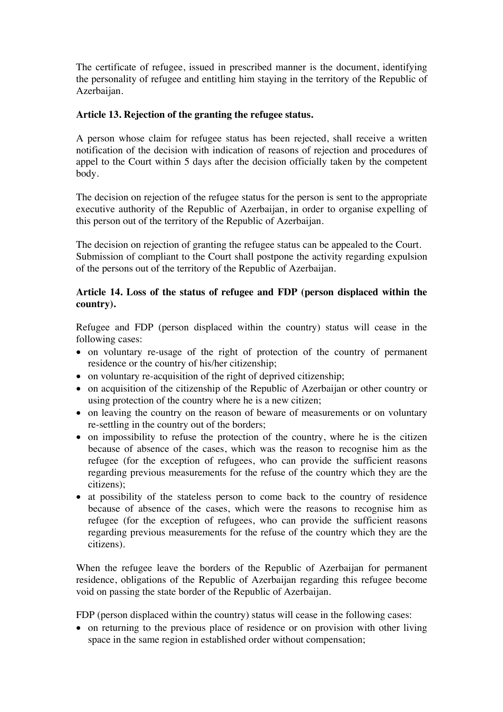The certificate of refugee, issued in prescribed manner is the document, identifying the personality of refugee and entitling him staying in the territory of the Republic of Azerbaijan.

## **Article 13. Rejection of the granting the refugee status.**

A person whose claim for refugee status has been rejected, shall receive a written notification of the decision with indication of reasons of rejection and procedures of appel to the Court within 5 days after the decision officially taken by the competent body.

The decision on rejection of the refugee status for the person is sent to the appropriate executive authority of the Republic of Azerbaijan, in order to organise expelling of this person out of the territory of the Republic of Azerbaijan.

The decision on rejection of granting the refugee status can be appealed to the Court. Submission of compliant to the Court shall postpone the activity regarding expulsion of the persons out of the territory of the Republic of Azerbaijan.

# **Article 14. Loss of the status of refugee and FDP (person displaced within the country).**

Refugee and FDP (person displaced within the country) status will cease in the following cases:

- on voluntary re-usage of the right of protection of the country of permanent residence or the country of his/her citizenship;
- on voluntary re-acquisition of the right of deprived citizenship;
- on acquisition of the citizenship of the Republic of Azerbaijan or other country or using protection of the country where he is a new citizen;
- on leaving the country on the reason of beware of measurements or on voluntary re-settling in the country out of the borders;
- on impossibility to refuse the protection of the country, where he is the citizen because of absence of the cases, which was the reason to recognise him as the refugee (for the exception of refugees, who can provide the sufficient reasons regarding previous measurements for the refuse of the country which they are the citizens);
- at possibility of the stateless person to come back to the country of residence because of absence of the cases, which were the reasons to recognise him as refugee (for the exception of refugees, who can provide the sufficient reasons regarding previous measurements for the refuse of the country which they are the citizens).

When the refugee leave the borders of the Republic of Azerbaijan for permanent residence, obligations of the Republic of Azerbaijan regarding this refugee become void on passing the state border of the Republic of Azerbaijan.

FDP (person displaced within the country) status will cease in the following cases:

• on returning to the previous place of residence or on provision with other living space in the same region in established order without compensation;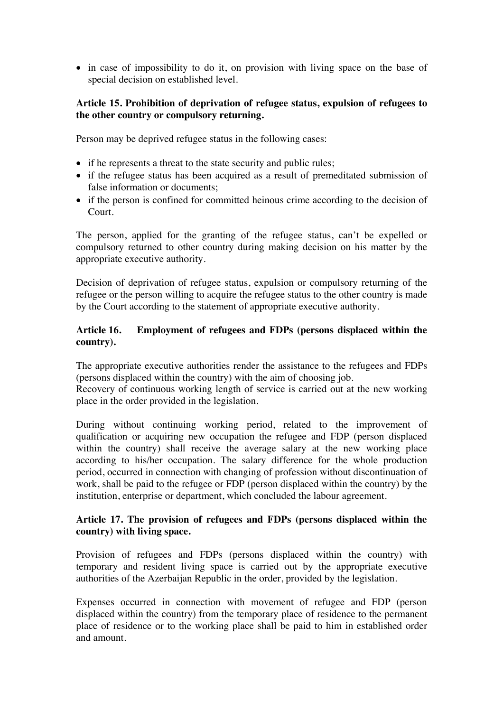• in case of impossibility to do it, on provision with living space on the base of special decision on established level.

# **Article 15. Prohibition of deprivation of refugee status, expulsion of refugees to the other country or compulsory returning.**

Person may be deprived refugee status in the following cases:

- if he represents a threat to the state security and public rules;
- if the refugee status has been acquired as a result of premeditated submission of false information or documents;
- if the person is confined for committed heinous crime according to the decision of Court.

The person, applied for the granting of the refugee status, can't be expelled or compulsory returned to other country during making decision on his matter by the appropriate executive authority.

Decision of deprivation of refugee status, expulsion or compulsory returning of the refugee or the person willing to acquire the refugee status to the other country is made by the Court according to the statement of appropriate executive authority.

# **Article 16. Employment of refugees and FDPs (persons displaced within the country).**

The appropriate executive authorities render the assistance to the refugees and FDPs (persons displaced within the country) with the aim of choosing job.

Recovery of continuous working length of service is carried out at the new working place in the order provided in the legislation.

During without continuing working period, related to the improvement of qualification or acquiring new occupation the refugee and FDP (person displaced within the country) shall receive the average salary at the new working place according to his/her occupation. The salary difference for the whole production period, occurred in connection with changing of profession without discontinuation of work, shall be paid to the refugee or FDP (person displaced within the country) by the institution, enterprise or department, which concluded the labour agreement.

## **Article 17. The provision of refugees and FDPs (persons displaced within the country) with living space.**

Provision of refugees and FDPs (persons displaced within the country) with temporary and resident living space is carried out by the appropriate executive authorities of the Azerbaijan Republic in the order, provided by the legislation.

Expenses occurred in connection with movement of refugee and FDP (person displaced within the country) from the temporary place of residence to the permanent place of residence or to the working place shall be paid to him in established order and amount.